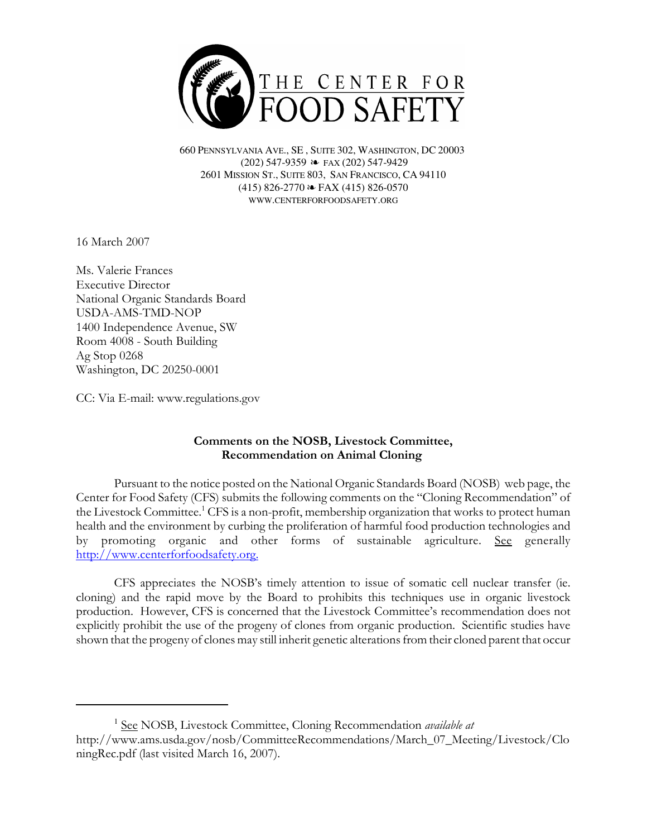

660 PENNSYLVANIA AVE., SE , SUITE 302, WASHINGTON, DC 20003 (202) 547-9359 ≥ FAX (202) 547-9429 2601 MISSION ST., SUITE 803, SAN FRANCISCO, CA 94110  $(415)$  826-2770  $\approx$  FAX (415) 826-0570 WWW.CENTERFORFOODSAFETY.ORG

16 March 2007

Ms. Valerie Frances Executive Director National Organic Standards Board USDA-AMS-TMD-NOP 1400 Independence Avenue, SW Room 4008 - South Building Ag Stop 0268 Washington, DC 20250-0001

CC: Via E-mail: www.regulations.gov

## Comments on the NOSB, Livestock Committee, Recommendation on Animal Cloning

Pursuant to the notice posted on the National Organic Standards Board (NOSB) web page, the Center for Food Safety (CFS) submits the following comments on the "Cloning Recommendation" of the Livestock Committee.<sup>1</sup> CFS is a non-profit, membership organization that works to protect human health and the environment by curbing the proliferation of harmful food production technologies and by promoting organic and other forms of sustainable agriculture. See generally http://www.centerforfoodsafety.org.

CFS appreciates the NOSB's timely attention to issue of somatic cell nuclear transfer (ie. cloning) and the rapid move by the Board to prohibits this techniques use in organic livestock production. However, CFS is concerned that the Livestock Committee's recommendation does not explicitly prohibit the use of the progeny of clones from organic production. Scientific studies have shown that the progeny of clones may still inherit genetic alterations from their cloned parent that occur

<sup>&</sup>lt;sup>1</sup> See NOSB, Livestock Committee, Cloning Recommendation *available at* http://www.ams.usda.gov/nosb/CommitteeRecommendations/March\_07\_Meeting/Livestock/Clo ningRec.pdf (last visited March 16, 2007).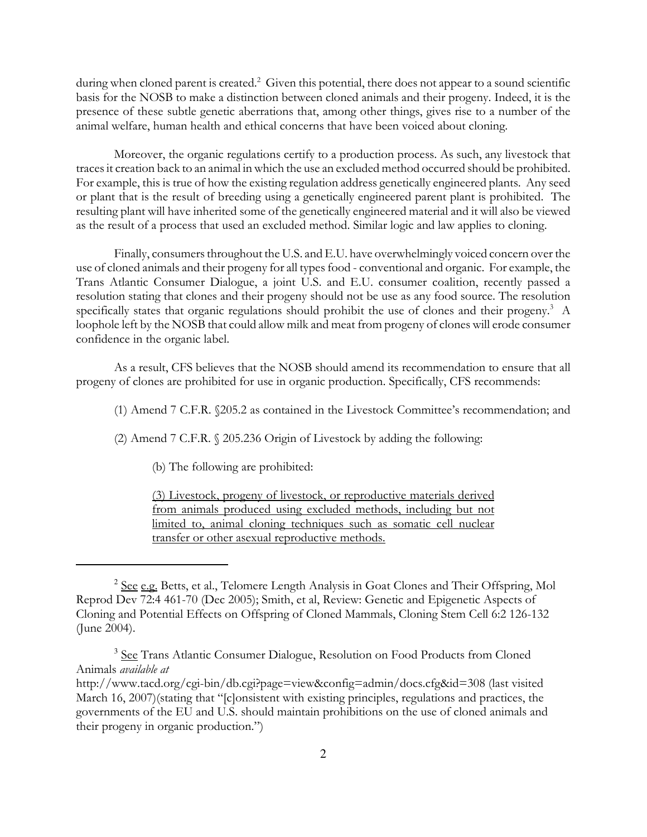during when cloned parent is created.<sup>2</sup> Given this potential, there does not appear to a sound scientific basis for the NOSB to make a distinction between cloned animals and their progeny. Indeed, it is the presence of these subtle genetic aberrations that, among other things, gives rise to a number of the animal welfare, human health and ethical concerns that have been voiced about cloning.

Moreover, the organic regulations certify to a production process. As such, any livestock that traces it creation back to an animal in which the use an excluded method occurred should be prohibited. For example, this is true of how the existing regulation address genetically engineered plants. Any seed or plant that is the result of breeding using a genetically engineered parent plant is prohibited. The resulting plant will have inherited some of the genetically engineered material and it will also be viewed as the result of a process that used an excluded method. Similar logic and law applies to cloning.

Finally, consumers throughout the U.S. and E.U. have overwhelmingly voiced concern over the use of cloned animals and their progeny for all types food - conventional and organic. For example, the Trans Atlantic Consumer Dialogue, a joint U.S. and E.U. consumer coalition, recently passed a resolution stating that clones and their progeny should not be use as any food source. The resolution specifically states that organic regulations should prohibit the use of clones and their progeny.<sup>3</sup> A loophole left by the NOSB that could allow milk and meat from progeny of clones will erode consumer confidence in the organic label.

As a result, CFS believes that the NOSB should amend its recommendation to ensure that all progeny of clones are prohibited for use in organic production. Specifically, CFS recommends:

(1) Amend 7 C.F.R. §205.2 as contained in the Livestock Committee's recommendation; and

(2) Amend 7 C.F.R. § 205.236 Origin of Livestock by adding the following:

(b) The following are prohibited:

(3) Livestock, progeny of livestock, or reproductive materials derived from animals produced using excluded methods, including but not limited to, animal cloning techniques such as somatic cell nuclear transfer or other asexual reproductive methods.

<sup>&</sup>lt;sup>2</sup> See e.g. Betts, et al., Telomere Length Analysis in Goat Clones and Their Offspring, Mol Reprod Dev 72:4 461-70 (Dec 2005); Smith, et al, Review: Genetic and Epigenetic Aspects of Cloning and Potential Effects on Offspring of Cloned Mammals, Cloning Stem Cell 6:2 126-132 (June 2004).

<sup>&</sup>lt;sup>3</sup> See Trans Atlantic Consumer Dialogue, Resolution on Food Products from Cloned Animals available at

http://www.tacd.org/cgi-bin/db.cgi?page=view&config=admin/docs.cfg&id=308 (last visited March 16, 2007)(stating that "[c]onsistent with existing principles, regulations and practices, the governments of the EU and U.S. should maintain prohibitions on the use of cloned animals and their progeny in organic production.")